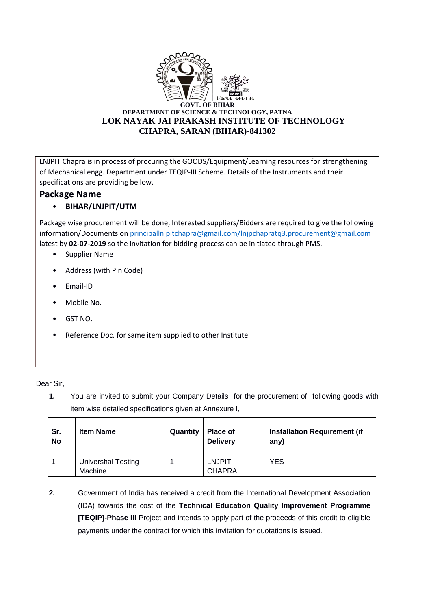

LNJPIT Chapra is in process of procuring the GOODS/Equipment/Learning resources for strengthening of Mechanical engg. Department under TEQIP-III Scheme. Details of the Instruments and their specifications are providing bellow.

## **Package Name**

## • **BIHAR/LNJPIT/UTM**

Package wise procurement will be done, Interested suppliers/Bidders are required to give the following information/Documents o[n principallnjpitchapra@gmail.com/lnjpchapratq3.procurement@gmail.com](mailto:principallnjpitchapra@gmail.com/lnjpchapratq3.procurement@gmail.com) latest by **02-07-2019** so the invitation for bidding process can be initiated through PMS.

- Supplier Name
- Address (with Pin Code)
- Email-ID
- Mobile No.
- GST NO.
- Reference Doc. for same item supplied to other Institute

Dear Sir,

**1.** You are invited to submit your Company Details for the procurement of following goods with item wise detailed specifications given at Annexure I,

| Sr.<br><b>No</b> | <b>Item Name</b>                     | Quantity | Place of<br><b>Delivery</b>    | <b>Installation Requirement (if</b><br>any) |
|------------------|--------------------------------------|----------|--------------------------------|---------------------------------------------|
|                  | <b>Univershal Testing</b><br>Machine |          | <b>LNJPIT</b><br><b>CHAPRA</b> | <b>YES</b>                                  |

**2.** Government of India has received a credit from the International Development Association (IDA) towards the cost of the **Technical Education Quality Improvement Programme [TEQIP]-Phase III** Project and intends to apply part of the proceeds of this credit to eligible payments under the contract for which this invitation for quotations is issued.